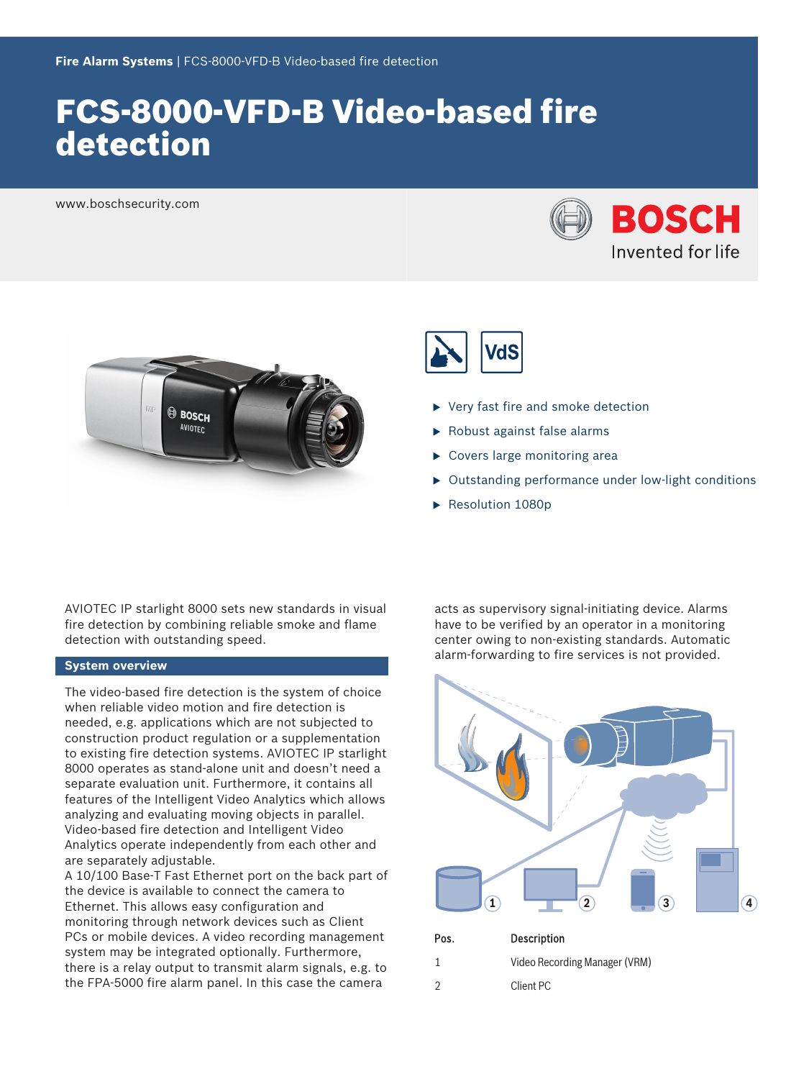# FCS-8000-VFD-B Video-based fire detection

www.boschsecurity.com







- Very fast fire and smoke detection
- Robust against false alarms
- $\triangleright$  Covers large monitoring area
- $\triangleright$  Outstanding performance under low-light conditions
- $\blacktriangleright$  Resolution 1080p

AVIOTEC IP starlight 8000 sets new standards in visual fire detection by combining reliable smoke and flame detection with outstanding speed.

# **System overview**

The video-based fire detection is the system of choice when reliable video motion and fire detection is needed, e.g. applications which are not subjected to construction product regulation or a supplementation to existing fire detection systems. AVIOTEC IP starlight 8000 operates as stand-alone unit and doesn't need a separate evaluation unit. Furthermore, it contains all features of the Intelligent Video Analytics which allows analyzing and evaluating moving objects in parallel. Video-based fire detection and Intelligent Video Analytics operate independently from each other and are separately adjustable.

A 10/100 Base-T Fast Ethernet port on the back part of the device is available to connect the camera to Ethernet. This allows easy configuration and monitoring through network devices such as Client PCs or mobile devices. A video recording management system may be integrated optionally. Furthermore, there is a relay output to transmit alarm signals, e.g. to the FPA-5000 fire alarm panel. In this case the camera

acts as supervisory signal-initiating device. Alarms have to be verified by an operator in a monitoring center owing to non-existing standards. Automatic alarm-forwarding to fire services is not provided.

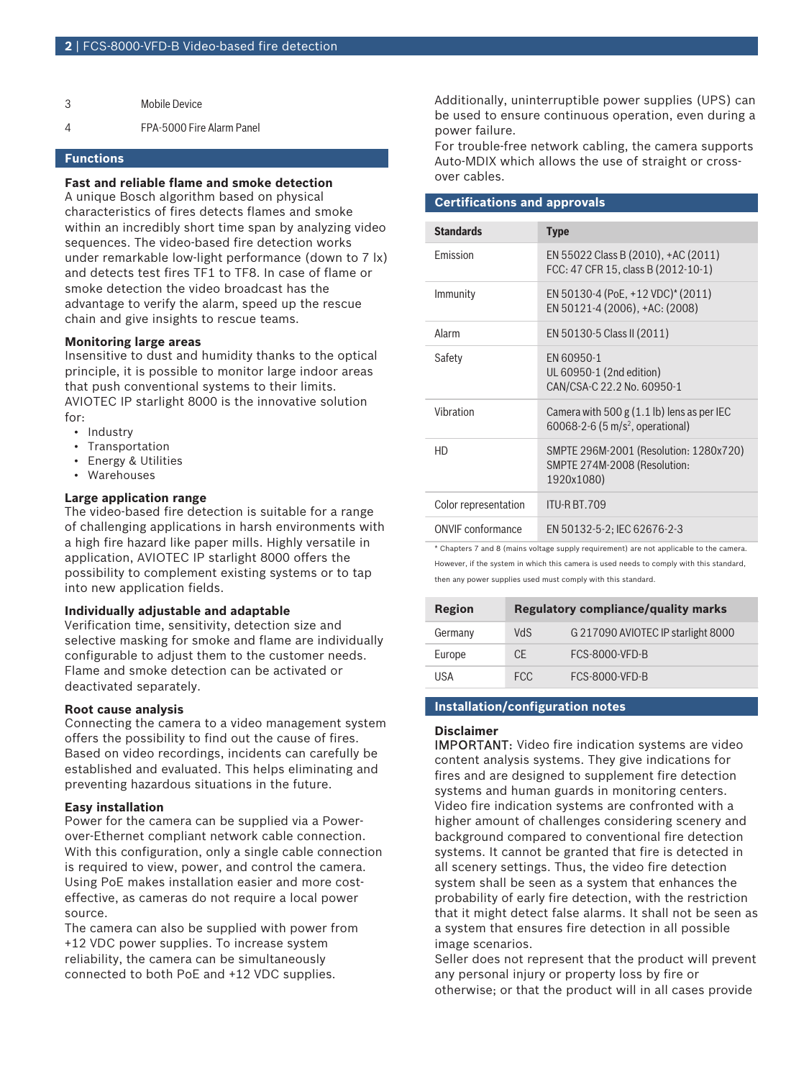4 FPA-5000 Fire Alarm Panel

## **Functions**

# **Fast and reliable flame and smoke detection**

A unique Bosch algorithm based on physical characteristics of fires detects flames and smoke within an incredibly short time span by analyzing video sequences. The video-based fire detection works under remarkable low-light performance (down to 7 lx) and detects test fires TF1 to TF8. In case of flame or smoke detection the video broadcast has the advantage to verify the alarm, speed up the rescue chain and give insights to rescue teams.

#### **Monitoring large areas**

Insensitive to dust and humidity thanks to the optical principle, it is possible to monitor large indoor areas that push conventional systems to their limits. AVIOTEC IP starlight 8000 is the innovative solution for:

- Industry
- Transportation
- Energy & Utilities
- Warehouses

#### **Large application range**

The video-based fire detection is suitable for a range of challenging applications in harsh environments with a high fire hazard like paper mills. Highly versatile in application, AVIOTEC IP starlight 8000 offers the possibility to complement existing systems or to tap into new application fields.

#### **Individually adjustable and adaptable**

Verification time, sensitivity, detection size and selective masking for smoke and flame are individually configurable to adjust them to the customer needs. Flame and smoke detection can be activated or deactivated separately.

#### **Root cause analysis**

Connecting the camera to a video management system offers the possibility to find out the cause of fires. Based on video recordings, incidents can carefully be established and evaluated. This helps eliminating and preventing hazardous situations in the future.

#### **Easy installation**

Power for the camera can be supplied via a Powerover-Ethernet compliant network cable connection. With this configuration, only a single cable connection is required to view, power, and control the camera. Using PoE makes installation easier and more costeffective, as cameras do not require a local power source.

The camera can also be supplied with power from +12 VDC power supplies. To increase system reliability, the camera can be simultaneously connected to both PoE and +12 VDC supplies.

Additionally, uninterruptible power supplies (UPS) can be used to ensure continuous operation, even during a power failure.

For trouble-free network cabling, the camera supports Auto-MDIX which allows the use of straight or crossover cables.

### **Certifications and approvals**

| <b>Standards</b>     | <b>Type</b>                                                                                  |
|----------------------|----------------------------------------------------------------------------------------------|
| <b>Fmission</b>      | EN 55022 Class B (2010), +AC (2011)<br>FCC: 47 CFR 15, class B (2012-10-1)                   |
| Immunity             | EN 50130-4 (PoE, +12 VDC)* (2011)<br>EN 50121-4 (2006), +AC: (2008)                          |
| Alarm                | EN 50130-5 Class II (2011)                                                                   |
| Safety               | FN 60950-1<br>UL 60950-1 (2nd edition)<br>CAN/CSA-C 22.2 No. 60950-1                         |
| Vibration            | Camera with 500 $g$ (1.1 lb) lens as per IEC<br>60068-2-6 (5 m/s <sup>2</sup> , operational) |
| HD                   | SMPTE 296M-2001 (Resolution: 1280x720)<br>SMPTE 274M-2008 (Resolution:<br>1920x1080)         |
| Color representation | ITU-R BT.709                                                                                 |
| ONVIE conformance    | EN 50132-5-2; IEC 62676-2-3                                                                  |
|                      |                                                                                              |

\* Chapters 7 and 8 (mains voltage supply requirement) are not applicable to the camera. However, if the system in which this camera is used needs to comply with this standard, then any power supplies used must comply with this standard.

| Region  | <b>Regulatory compliance/quality marks</b> |                                    |
|---------|--------------------------------------------|------------------------------------|
| Germany | <b>NdS</b>                                 | G 217090 AVIOTEC IP starlight 8000 |
| Europe  | CF.                                        | <b>FCS-8000-VFD-B</b>              |
| USA     | FCC.                                       | <b>FCS-8000-VFD-B</b>              |

#### **Installation/configuration notes**

#### **Disclaimer**

IMPORTANT: Video fire indication systems are video content analysis systems. They give indications for fires and are designed to supplement fire detection systems and human guards in monitoring centers. Video fire indication systems are confronted with a higher amount of challenges considering scenery and background compared to conventional fire detection systems. It cannot be granted that fire is detected in all scenery settings. Thus, the video fire detection system shall be seen as a system that enhances the probability of early fire detection, with the restriction that it might detect false alarms. It shall not be seen as a system that ensures fire detection in all possible image scenarios.

Seller does not represent that the product will prevent any personal injury or property loss by fire or otherwise; or that the product will in all cases provide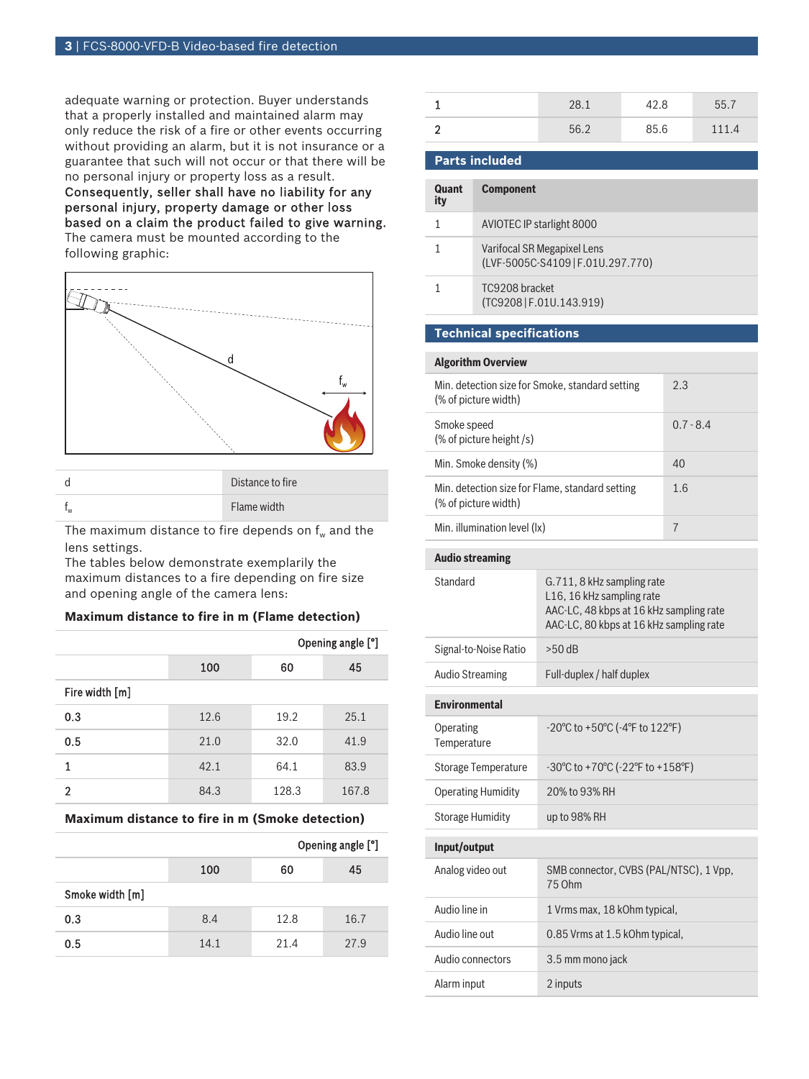adequate warning or protection. Buyer understands that a properly installed and maintained alarm may only reduce the risk of a fire or other events occurring without providing an alarm, but it is not insurance or a guarantee that such will not occur or that there will be no personal injury or property loss as a result.

Consequently, seller shall have no liability for any personal injury, property damage or other loss based on a claim the product failed to give warning.

The camera must be mounted according to the following graphic:



|                           | Distance to fire |
|---------------------------|------------------|
| $\mathsf{I}_{\mathsf{W}}$ | Flame width      |

The maximum distance to fire depends on  $f_w$  and the lens settings.

The tables below demonstrate exemplarily the maximum distances to a fire depending on fire size and opening angle of the camera lens:

# **Maximum distance to fire in m (Flame detection)**

|                |      |       | Opening angle [°] |
|----------------|------|-------|-------------------|
|                | 100  | 60    | 45                |
| Fire width [m] |      |       |                   |
| 0.3            | 12.6 | 19.2  | 25.1              |
| 0.5            | 21.0 | 32.0  | 41.9              |
|                | 42.1 | 64.1  | 83.9              |
| 2              | 84.3 | 128.3 | 167.8             |

**Maximum distance to fire in m (Smoke detection)**

|                 |      |      | Opening angle [°] |
|-----------------|------|------|-------------------|
|                 | 100  | 60   | 45                |
| Smoke width [m] |      |      |                   |
| 0.3             | 8.4  | 12.8 | 16.7              |
| 0.5             | 14.1 | 21.4 | 27.9              |

|   | 28.1 | 42.8 | 55.7 |
|---|------|------|------|
| c | 562  | 85.6 | 111A |

|  | <b>Parts included</b> |  |
|--|-----------------------|--|
|  |                       |  |

| Quant<br>ity | <b>Component</b>                                                 |
|--------------|------------------------------------------------------------------|
|              | AVIOTEC IP starlight 8000                                        |
|              | Varifocal SR Megapixel Lens<br>(LVF-5005C-S4109   F.01U.297.770) |
|              | TC9208 bracket<br>(TC9208   F.01U.143.919)                       |
|              |                                                                  |

# **Technical specifications**

| <b>Algorithm Overview</b>                                               |                                                                                                                                               |                |  |
|-------------------------------------------------------------------------|-----------------------------------------------------------------------------------------------------------------------------------------------|----------------|--|
| Min. detection size for Smoke, standard setting<br>(% of picture width) |                                                                                                                                               | 2.3            |  |
| Smoke speed<br>(% of picture height /s)                                 |                                                                                                                                               | $0.7 - 8.4$    |  |
| Min. Smoke density (%)                                                  |                                                                                                                                               | 40             |  |
| Min. detection size for Flame, standard setting<br>(% of picture width) |                                                                                                                                               | 1.6            |  |
| Min. illumination level (lx)                                            |                                                                                                                                               | $\overline{7}$ |  |
| <b>Audio streaming</b>                                                  |                                                                                                                                               |                |  |
| Standard                                                                | G.711, 8 kHz sampling rate<br>L16, 16 kHz sampling rate<br>AAC-LC, 48 kbps at 16 kHz sampling rate<br>AAC-LC, 80 kbps at 16 kHz sampling rate |                |  |
| Signal-to-Noise Ratio                                                   | $>50$ dB                                                                                                                                      |                |  |
| <b>Audio Streaming</b>                                                  | Full-duplex / half duplex                                                                                                                     |                |  |
| <b>Environmental</b>                                                    |                                                                                                                                               |                |  |
| Operating<br>Temperature                                                | -20°C to +50°C (-4°F to 122°F)                                                                                                                |                |  |
| <b>Storage Temperature</b>                                              | $-30^{\circ}$ C to $+70^{\circ}$ C ( $-22^{\circ}$ F to $+158^{\circ}$ F)                                                                     |                |  |
| <b>Operating Humidity</b>                                               | 20% to 93% RH                                                                                                                                 |                |  |
| <b>Storage Humidity</b>                                                 | up to 98% RH                                                                                                                                  |                |  |
| Input/output                                                            |                                                                                                                                               |                |  |
| Analog video out                                                        | SMB connector, CVBS (PAL/NTSC), 1 Vpp,<br>75 Ohm                                                                                              |                |  |
| Audio line in                                                           | 1 Vrms max, 18 kOhm typical,                                                                                                                  |                |  |
| Audio line out                                                          | 0.85 Vrms at 1.5 kOhm typical,                                                                                                                |                |  |
| Audio connectors                                                        | 3.5 mm mono jack                                                                                                                              |                |  |
| Alarm input                                                             | 2 inputs                                                                                                                                      |                |  |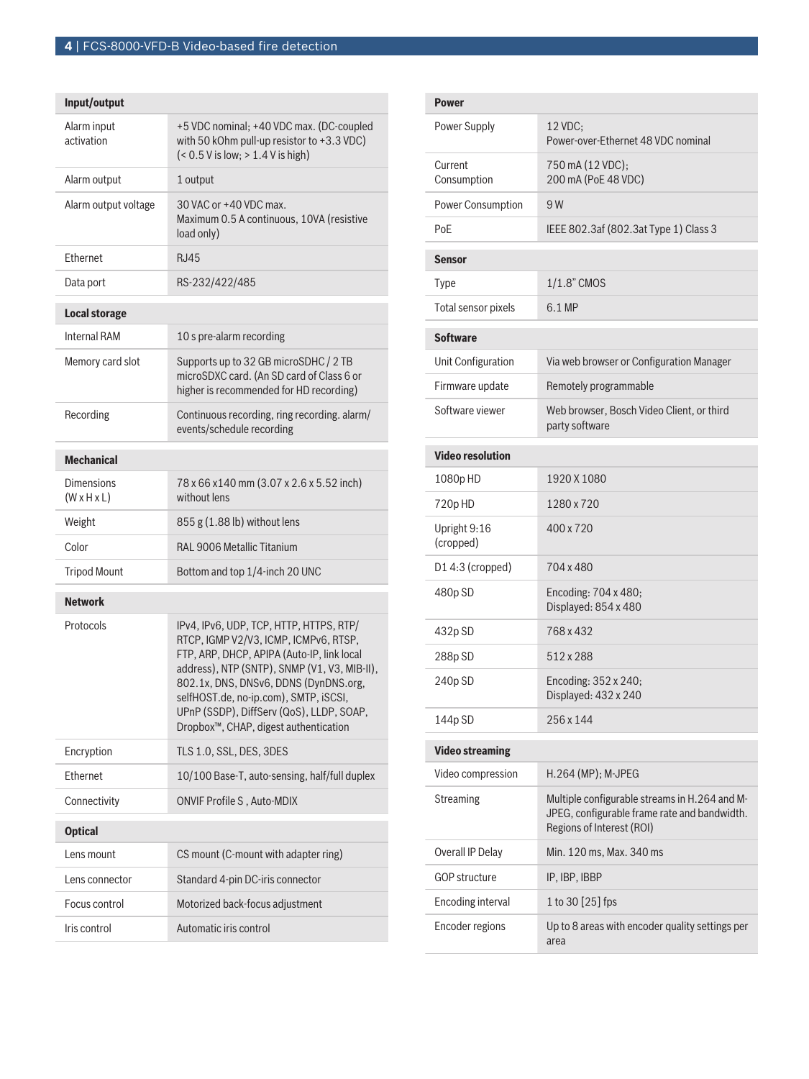| +5 VDC nominal; +40 VDC max. (DC-coupled<br>with 50 kOhm pull-up resistor to +3.3 VDC)<br>$(< 0.5 V$ is low; $> 1.4 V$ is high)                                                                                                                                                                                                                                    |
|--------------------------------------------------------------------------------------------------------------------------------------------------------------------------------------------------------------------------------------------------------------------------------------------------------------------------------------------------------------------|
| 1 output                                                                                                                                                                                                                                                                                                                                                           |
| 30 VAC or +40 VDC max.<br>Maximum 0.5 A continuous, 10VA (resistive<br>load only)                                                                                                                                                                                                                                                                                  |
| R.I45                                                                                                                                                                                                                                                                                                                                                              |
| RS-232/422/485                                                                                                                                                                                                                                                                                                                                                     |
|                                                                                                                                                                                                                                                                                                                                                                    |
| 10 s pre-alarm recording                                                                                                                                                                                                                                                                                                                                           |
| Supports up to 32 GB microSDHC / 2 TB<br>microSDXC card. (An SD card of Class 6 or<br>higher is recommended for HD recording)                                                                                                                                                                                                                                      |
| Continuous recording, ring recording. alarm/<br>events/schedule recording                                                                                                                                                                                                                                                                                          |
|                                                                                                                                                                                                                                                                                                                                                                    |
| 78 x 66 x 140 mm (3.07 x 2.6 x 5.52 inch)<br>without lens                                                                                                                                                                                                                                                                                                          |
| 855 g (1.88 lb) without lens                                                                                                                                                                                                                                                                                                                                       |
| RAL 9006 Metallic Titanium                                                                                                                                                                                                                                                                                                                                         |
| Bottom and top 1/4-inch 20 UNC                                                                                                                                                                                                                                                                                                                                     |
|                                                                                                                                                                                                                                                                                                                                                                    |
| IPv4, IPv6, UDP, TCP, HTTP, HTTPS, RTP/<br>RTCP, IGMP V2/V3, ICMP, ICMPv6, RTSP,<br>FTP, ARP, DHCP, APIPA (Auto-IP, link local<br>address), NTP (SNTP), SNMP (V1, V3, MIB-II),<br>802.1x, DNS, DNSv6, DDNS (DynDNS.org,<br>selfHOST.de, no-ip.com), SMTP, iSCSI,<br>UPnP (SSDP), DiffServ (QoS), LLDP, SOAP,<br>Dropbox <sup>™</sup> , CHAP, digest authentication |
| TLS 1.0, SSL, DES, 3DES                                                                                                                                                                                                                                                                                                                                            |
| 10/100 Base-T, auto-sensing, half/full duplex                                                                                                                                                                                                                                                                                                                      |
| ONVIF Profile S, Auto-MDIX                                                                                                                                                                                                                                                                                                                                         |
|                                                                                                                                                                                                                                                                                                                                                                    |
|                                                                                                                                                                                                                                                                                                                                                                    |
| CS mount (C-mount with adapter ring)                                                                                                                                                                                                                                                                                                                               |
| Standard 4-pin DC-iris connector                                                                                                                                                                                                                                                                                                                                   |
| Motorized back-focus adjustment                                                                                                                                                                                                                                                                                                                                    |
|                                                                                                                                                                                                                                                                                                                                                                    |

| <b>Power</b>              |                                                                                                                            |
|---------------------------|----------------------------------------------------------------------------------------------------------------------------|
| Power Supply              | 12 VDC;<br>Power-over-Ethernet 48 VDC nominal                                                                              |
| Current<br>Consumption    | 750 mA (12 VDC);<br>200 mA (PoE 48 VDC)                                                                                    |
| <b>Power Consumption</b>  | 9 W                                                                                                                        |
| PoE                       | IEEE 802.3af (802.3at Type 1) Class 3                                                                                      |
| <b>Sensor</b>             |                                                                                                                            |
| Type                      | 1/1.8" CMOS                                                                                                                |
| Total sensor pixels       | 6.1 MP                                                                                                                     |
| <b>Software</b>           |                                                                                                                            |
| Unit Configuration        | Via web browser or Configuration Manager                                                                                   |
| Firmware update           | Remotely programmable                                                                                                      |
| Software viewer           | Web browser, Bosch Video Client, or third<br>party software                                                                |
| <b>Video resolution</b>   |                                                                                                                            |
| 1080p HD                  | 1920 X 1080                                                                                                                |
| 720pHD                    | 1280 x 720                                                                                                                 |
| Upright 9:16<br>(cropped) | 400 x 720                                                                                                                  |
| D14:3 (cropped)           | 704 x 480                                                                                                                  |
| 480p SD                   | Encoding: 704 x 480;<br>Displayed: 854 x 480                                                                               |
| 432p SD                   | 768 x 432                                                                                                                  |
| 288p SD                   | 512 x 288                                                                                                                  |
| 240p SD                   | Encoding: 352 x 240;<br>Displayed: 432 x 240                                                                               |
| 144p SD                   | 256 x 144                                                                                                                  |
| <b>Video streaming</b>    |                                                                                                                            |
| Video compression         | H.264 (MP); M-JPEG                                                                                                         |
| Streaming                 | Multiple configurable streams in H.264 and M-<br>JPEG, configurable frame rate and bandwidth.<br>Regions of Interest (ROI) |
| Overall IP Delay          | Min. 120 ms, Max. 340 ms                                                                                                   |
| GOP structure             | IP, IBP, IBBP                                                                                                              |
| <b>Encoding interval</b>  | 1 to 30 [25] fps                                                                                                           |
| Encoder regions           | Up to 8 areas with encoder quality settings per<br>area                                                                    |